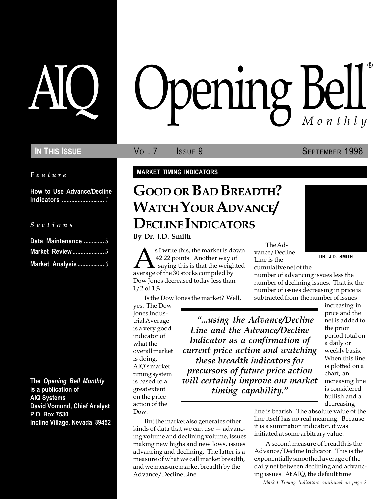Feature

How to Use Advance/Decline Indicators ........................... 1

S e c t i o n s

| Data Maintenance  5 |  |
|---------------------|--|
|                     |  |
| Market Analysis  6  |  |

The Opening Bell Monthly is a publication of AIQ Systems David Vomund, Chief Analyst P.O. Box 7530 Incline Village, Nevada 89452

# pening Bell ®

In This Issue **SEPTEMBER 1998** Vol. 7 **SEPTEMBER 1998** 

MARKET TIMING INDICATORS

# GOOD OR BAD BREADTH? WATCH YOUR ADVANCE/ DECLINE INDICATORS

By Dr. J.D. Smith

SI write this, the market is down<br>
42.22 points. Another way of Line is the<br>
average of the 30 stocks compiled by<br>
Line is the<br>
number of advancing issues less the s I write this, the market is down 42.22 points. Another way of  $\blacktriangle$  saying this is that the weighted Dow Jones decreased today less than 1/2 of 1%.

Is the Dow Jones the market? Well,

yes. The Dow Jones Industrial Average is a very good indicator of what the overall market is doing. AIQ's market timing system is based to a great extent on the price action of the Dow.

...using the Advance/Decline Line and the Advance/Decline Indicator as a confirmation of current price action and watching these breadth indicators for precursors of future price action will certainly improve our market timing capability.

But the market also generates other kinds of data that we can use  $-$  advancing volume and declining volume, issues making new highs and new lows, issues advancing and declining. The latter is a measure of what we call market breadth, and we measure market breadth by the Advance/Decline Line.

The Advance/Decline Line is the

cumulative net of the number of advancing issues less the number of declining issues. That is, the number of issues decreasing in price is subtracted from the number of issues

> increasing in price and the net is added to the prior period total on a daily or weekly basis. When this line is plotted on a chart, an increasing line is considered bullish and a decreasing

line is bearish. The absolute value of the line itself has no real meaning. Because it is a summation indicator, it was initiated at some arbitrary value.

A second measure of breadth is the Advance/Decline Indicator. This is the exponentially smoothed average of the daily net between declining and advancing issues. At AIQ, the default time

Market Timing Indicators continued on page 2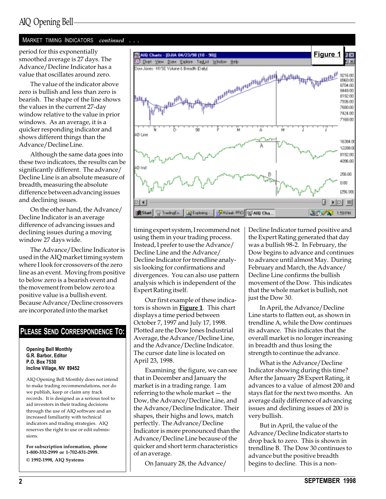# AIQ Opening Bell

#### MARKET TIMING INDICATORS continued . . .

smoothed average is 27 days. The Advance/Decline Indicator has a value that oscillates around zero.

The value of the indicator above zero is bullish and less than zero is bearish. The shape of the line shows the values in the current 27-day window relative to the value in prior windows. As an average, it is a quicker responding indicator and shows different things than the Advance/Decline Line.

Although the same data goes into these two indicators, the results can be significantly different. The advance/ Decline Line is an absolute measure of breadth, measuring the absolute difference between advancing issues and declining issues.

On the other hand, the Advance/ Decline Indicator is an average difference of advancing issues and declining issues during a moving window 27 days wide.

The Advance/Decline Indicator is used in the AIQ market timing system where I look for crossovers of the zero line as an event. Moving from positive to below zero is a bearish event and the movement from below zero to a positive value is a bullish event. Because Advance/Decline crossovers are incorporated into the market

#### PLEASE SEND CORRESPONDENCE TO:

Opening Bell Monthly G.R. Barbor, Editor P.O. Box 7530 Incline Village, NV 89452

AIQ Opening Bell Monthly does not intend to make trading recommendations, nor do we publish, keep or claim any track records. It is designed as a serious tool to aid investors in their trading decisions through the use of AIQ software and an increased familiarity with technical indicators and trading strategies. AIQ reserves the right to use or edit submissions.

For subscription information, phone 1-800-332-2999 or 1-702-831-2999. © 1992-1998, AIQ Systems



timing expert system, I recommend not using them in your trading process. Instead, I prefer to use the Advance/ Decline Line and the Advance/ Decline Indicator for trendline analysis looking for confirmations and divergences. You can also use pattern analysis which is independent of the Expert Rating itself.

Our first example of these indicators is shown in **Figure 1**. This chart displays a time period between October 7, 1997 and July 17, 1998. Plotted are the Dow Jones Industrial Average, the Advance/Decline Line, and the Advance/Decline Indicator. The cursor date line is located on April 23, 1998.

Examining the figure, we can see that in December and January the market is in a trading range. I am referring to the whole market  $-$  the Dow, the Advance/Decline Line, and the Advance/Decline Indicator. Their shapes, their highs and lows, match perfectly. The Advance/Decline Indicator is more pronounced than the Advance/Decline Line because of the quicker and short term characteristics of an average.

On January 28, the Advance/

Decline Indicator turned positive and the Expert Rating generated that day was a bullish 98-2. In February, the Dow begins to advance and continues to advance until almost May. During February and March, the Advance/ Decline Line confirms the bullish movement of the Dow. This indicates that the whole market is bullish, not just the Dow 30.

In April, the Advance/Decline Line starts to flatten out, as shown in trendline A, while the Dow continues its advance. This indicates that the overall market is no longer increasing in breadth and thus losing the strength to continue the advance.

What is the Advance/Decline Indicator showing during this time? After the January 28 Expert Rating, it advances to a value of almost 200 and stays flat for the next two months. An average daily difference of advancing issues and declining issues of 200 is very bullish.

But in April, the value of the Advance/Decline Indicator starts to drop back to zero. This is shown in trendline B. The Dow 30 continues to advance but the positive breadth begins to decline. This is a non-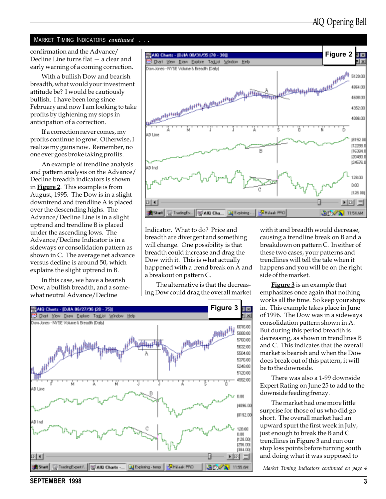#### MARKET TIMING INDICATORS continued . . .

confirmation and the Advance/ Decline Line turns flat  $-$  a clear and early warning of a coming correction.

With a bullish Dow and bearish breadth, what would your investment attitude be? I would be cautiously bullish. I have been long since February and now I am looking to take profits by tightening my stops in anticipation of a correction.

If a correction never comes, my profits continue to grow. Otherwise, I realize my gains now. Remember, no one ever goes broke taking profits.

An example of trendline analysis and pattern analysis on the Advance/ Decline breadth indicators is shown in Figure 2. This example is from August, 1995. The Dow is in a slight downtrend and trendline A is placed over the descending highs. The Advance/Decline Line is in a slight uptrend and trendline B is placed under the ascending lows. The Advance/Decline Indicator is in a sideways or consolidation pattern as shown in C. The average net advance versus decline is around 50, which explains the slight uptrend in B.

In this case, we have a bearish Dow, a bullish breadth, and a somewhat neutral Advance/Decline



Indicator. What to do? Price and breadth are divergent and something will change. One possibility is that breadth could increase and drag the Dow with it. This is what actually happened with a trend break on A and a breakout on pattern C.

The alternative is that the decreasing Dow could drag the overall market



with it and breadth would decrease, causing a trendline break on B and a breakdown on pattern C. In either of these two cases, your patterns and trendlines will tell the tale when it happens and you will be on the right side of the market.

**Figure 3** is an example that emphasizes once again that nothing works all the time. So keep your stops in. This example takes place in June of 1996. The Dow was in a sideways consolidation pattern shown in A. But during this period breadth is decreasing, as shown in trendlines B and C. This indicates that the overall market is bearish and when the Dow does break out of this pattern, it will be to the downside.

There was also a 1-99 downside Expert Rating on June 25 to add to the downside feeding frenzy.

The market had one more little surprise for those of us who did go short. The overall market had an upward spurt the first week in July, just enough to break the B and C trendlines in Figure 3 and run our stop loss points before turning south and doing what it was supposed to

Market Timing Indicators continued on page 4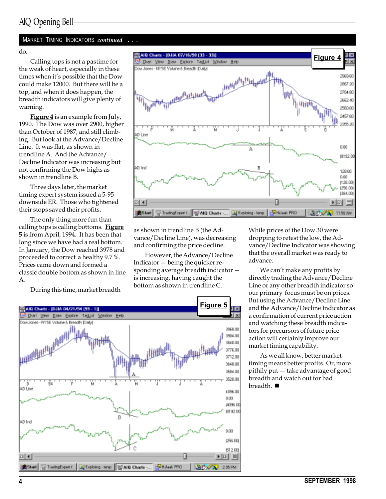#### MARKET TIMING INDICATORS continued . . .

do.

Calling tops is not a pastime for the weak of heart, especially in these times when it's possible that the Dow could make 12000. But there will be a top, and when it does happen, the breadth indicators will give plenty of warning.

Figure 4 is an example from July, 1990. The Dow was over 2900, higher than October of 1987, and still climbing. But look at the Advance/Decline Line. It was flat, as shown in trendline A. And the Advance/ Decline Indicator was increasing but not confirming the Dow highs as shown in trendline B.

Three days later, the market timing expert system issued a 5-95 downside ER. Those who tightened their stops saved their profits.

The only thing more fun than calling tops is calling bottoms. Figure 5 is from April, 1994. It has been that long since we have had a real bottom. In January, the Dow reached 3978 and proceeded to correct a healthy 9.7 %. Prices came down and formed a classic double bottom as shown in line A.

During this time, market breadth



as shown in trendline B (the Advance/Decline Line), was decreasing and confirming the price decline.

However, the Advance/Decline Indicator  $-\overline{\phantom{a}}$  being the quicker responding average breadth indicator is increasing, having caught the bottom as shown in trendline C.

While prices of the Dow 30 were dropping to retest the low, the Advance/Decline Indicator was showing that the overall market was ready to advance.

We can't make any profits by directly trading the Advance/Decline Line or any other breadth indicator so our primary focus must be on prices. But using the Advance/Decline Line and the Advance/Decline Indicator as a confirmation of current price action and watching these breadth indicators for precursors of future price action will certainly improve our market timing capability.

As we all know, better market timing means better profits. Or, more pithily put  $-$  take advantage of good breadth and watch out for bad breadth.  $\blacksquare$ 

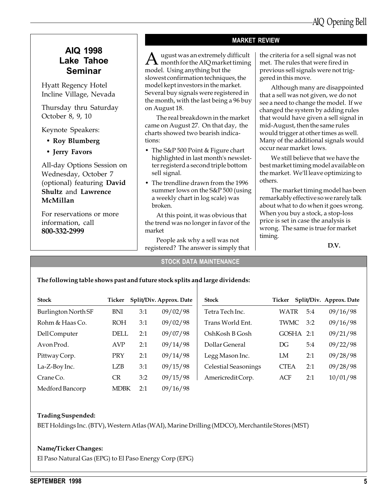### AIQ 1998 Lake Tahoe Seminar

Hyatt Regency Hotel Incline Village, Nevada

Thursday thru Saturday October 8, 9, 10

Keynote Speakers:

- Roy Blumberg
- Jerry Favors

All-day Options Session on Wednesday, October 7 (optional) featuring David Shultz and Lawrence McMillan

For reservations or more information, call 800-332-2999

#### MARKET REVIEW

 $A$  ugust was an extremely difficult<br>month for the AIQ market timing model. Using anything but the slowest confirmation techniques, the model kept investors in the market. Several buy signals were registered in the month, with the last being a 96 buy on August 18.

The real breakdown in the market came on August 27. On that day, the charts showed two bearish indications:

- The S&P 500 Point & Figure chart highlighted in last month's newsletter registerd a second triple bottom sell signal.
- The trendline drawn from the 1996 summer lows on the S&P 500 (using a weekly chart in log scale) was broken.

At this point, it was obvious that the trend was no longer in favor of the market

People ask why a sell was not registered? The answer is simply that the criteria for a sell signal was not met. The rules that were fired in previous sell signals were not triggered in this move.

Although many are disappointed that a sell was not given, we do not see a need to change the model. If we changed the system by adding rules that would have given a sell signal in mid-August, then the same rules would trigger at other times as well. Many of the additional signals would occur near market lows.

We still believe that we have the best market timing model available on the market. We'll leave optimizing to others.

The market timing model has been remarkably effective so we rarely talk about what to do when it goes wrong. When you buy a stock, a stop-loss price is set in case the analysis is wrong. The same is true for market timing.

D.V.

#### STOCK DATA MAINTENANCE

#### The following table shows past and future stock splits and large dividends:

| <b>Stock</b>        | Ticker      |     | Split/Div. Approx. Date | <b>Stock</b>                | Ticker      |           | Split/Div. Approx. Date |
|---------------------|-------------|-----|-------------------------|-----------------------------|-------------|-----------|-------------------------|
| Burlington North SF | <b>BNI</b>  | 3:1 | 09/02/98                | Tetra Tech Inc.             | <b>WATR</b> | 5:4       | 09/16/98                |
| Rohm & Haas Co.     | <b>ROH</b>  | 3:1 | 09/02/98                | Trans World Ent.            | <b>TWMC</b> | 3:2       | 09/16/98                |
| Dell Computer       | DELL        | 2:1 | 09/07/98                | OshKosh B Gosh              |             | GOSHA 2:1 | 09/21/98                |
| Avon Prod.          | <b>AVP</b>  | 2:1 | 09/14/98                | Dollar General              | DG          | 5:4       | 09/22/98                |
| Pittway Corp.       | PRY         | 2:1 | 09/14/98                | Legg Mason Inc.             | LM          | 2:1       | 09/28/98                |
| La-Z-Boy Inc.       | <b>LZB</b>  | 3:1 | 09/15/98                | <b>Celestial Seasonings</b> | <b>CTEA</b> | 2:1       | 09/28/98                |
| Crane Co.           | <b>CR</b>   | 3:2 | 09/15/98                | Americredit Corp.           | ACF         | 2:1       | 10/01/98                |
| Medford Bancorp     | <b>MDBK</b> | 2:1 | 09/16/98                |                             |             |           |                         |

#### Trading Suspended:

BET Holdings Inc. (BTV), Western Atlas (WAI), Marine Drilling (MDCO), Merchantile Stores (MST)

#### Name/Ticker Changes:

El Paso Natural Gas (EPG) to El Paso Energy Corp (EPG)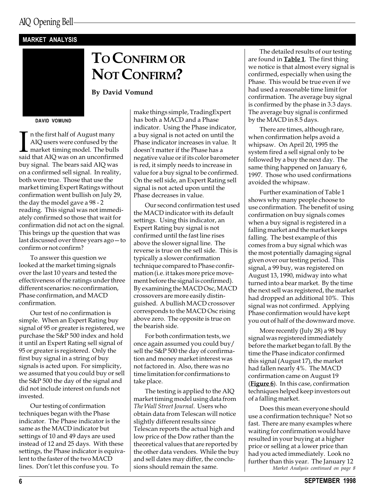#### MARKET ANALYSIS

# TO CONFIRM OR NOT CONFIRM?

By David Vomund

DAVID VOMUND

In the first half of August many<br>AIQ users were confused by the<br>market timing model. The bulls<br>said that AIQ was on an unconfirmed n the first half of August many AIQ users were confused by the market timing model. The bulls buy signal. The bears said AIQ was on a confirmed sell signal. In reality, both were true. Those that use the market timing Expert Ratings without confirmation went bullish on July 29, the day the model gave a 98 - 2 reading. This signal was not immediately confirmed so those that wait for confirmation did not act on the signal. This brings up the question that was last discussed over three years  $ago-to$ confirm or not confirm?

To answer this question we looked at the market timing signals over the last 10 years and tested the effectiveness of the ratings under three different scenarios: no confirmation, Phase confirmation, and MACD confirmation.

Our test of no confirmation is simple. When an Expert Rating buy signal of 95 or greater is registered, we purchase the S&P 500 index and hold it until an Expert Rating sell signal of 95 or greater is registered. Only the first buy signal in a string of buy signals is acted upon. For simplicity, we assumed that you could buy or sell the S&P 500 the day of the signal and did not include interest on funds not invested.

Our testing of confirmation techniques began with the Phase indicator. The Phase indicator is the same as the MACD indicator but settings of 10 and 49 days are used instead of 12 and 25 days. With these settings, the Phase indicator is equivalent to the faster of the two MACD lines. Don't let this confuse you. To

make things simple, TradingExpert has both a MACD and a Phase indicator. Using the Phase indicator, a buy signal is not acted on until the Phase indicator increases in value. It doesn't matter if the Phase has a negative value or if its color barometer is red, it simply needs to increase in value for a buy signal to be confirmed. On the sell side, an Expert Rating sell signal is not acted upon until the Phase decreases in value.

Our second confirmation test used the MACD indicator with its default settings. Using this indicator, an Expert Rating buy signal is not confirmed until the fast line rises above the slower signal line. The reverse is true on the sell side. This is typically a slower confirmation technique compared to Phase confirmation (i.e. it takes more price movement before the signal is confirmed). By examining the MACD Osc, MACD crossovers are more easily distinguished. A bullish MACD crossover corresponds to the MACD Osc rising above zero. The opposite is true on the bearish side.

For both confirmation tests, we once again assumed you could buy/ sell the S&P 500 the day of confirmation and money market interest was not factored in. Also, there was no time limitation for confirmations to take place.

The testing is applied to the AIQ market timing model using data from The Wall Street Journal. Users who obtain data from Telescan will notice slightly different results since Telescan reports the actual high and low price of the Dow rather than the theoretical values that are reported by the other data vendors. While the buy and sell dates may differ, the conclusions should remain the same.

The detailed results of our testing are found in **Table 1**. The first thing we notice is that almost every signal is confirmed, especially when using the Phase. This would be true even if we had used a reasonable time limit for confirmation. The average buy signal is confirmed by the phase in 3.3 days. The average buy signal is confirmed by the MACD in 8.5 days.

There are times, although rare, when confirmation helps avoid a whipsaw. On April 20, 1995 the system fired a sell signal only to be followed by a buy the next day. The same thing happened on January 6, 1997. Those who used confirmations avoided the whipsaw.

Further examination of Table 1 shows why many people choose to use confirmation. The benefit of using confirmation on buy signals comes when a buy signal is registered in a falling market and the market keeps falling. The best example of this comes from a buy signal which was the most potentially damaging signal given over our testing period. This signal, a 99 buy, was registered on August 13, 1990, midway into what turned into a bear market. By the time the next sell was registered, the market had dropped an additional 10%. This signal was not confirmed. Applying Phase confirmation would have kept you out of half of the downward move.

More recently (July 28) a 98 buy signal was registered immediately before the market began to fall. By the time the Phase indicator confirmed this signal (August 17), the market had fallen nearly 4%. The MACD confirmation came on August 19 (Figure  $6$ ). In this case, confirmation techniques helped keep investors out of a falling market.

Market Analysis continued on page 8 Does this mean everyone should use a confirmation technique? Not so fast. There are many examples where waiting for confirmation would have resulted in your buying at a higher price or selling at a lower price than had you acted immediately. Look no further than this year. The January 12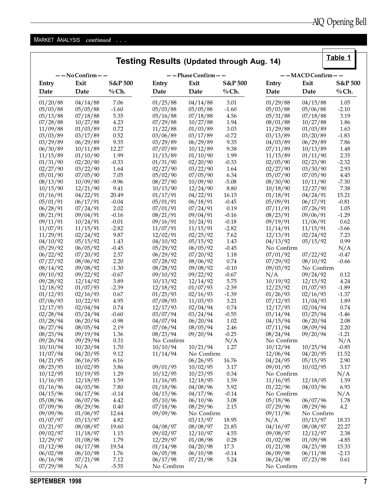Table 1

## MARKET ANALYSIS continued . . .

## Testing Results (Updated through Aug. 14)

| $-$ - No Confirm $-$ - |                      |              |                      | --Phase Confirm--    |              |                      | $--$ MACD Confirm $--$ |              |  |  |
|------------------------|----------------------|--------------|----------------------|----------------------|--------------|----------------------|------------------------|--------------|--|--|
| Entry                  | Exit                 | S&P 500      | Entry                | Exit                 | S&P 500      | Entry                | Exit                   | S&P 500      |  |  |
| Date                   | Date                 | $%$ Ch.      | Date                 | Date                 | $%$ Ch.      | Date                 | Date                   | $%$ Ch.      |  |  |
| 01/20/88               | 04/14/88             | 7.06         | 01/25/88             | 04/14/88             | 3.01         | 01/29/88             | 04/15/88               | 1.05         |  |  |
| 05/03/88               | 05/05/88             | $-1.60$      | 05/03/88             | 05/05/88             | $-1.60$      | 05/03/88             | 05/06/88               | $-2.10$      |  |  |
| 05/13/88               | 07/18/88             | 5.35         | 05/16/88             | 07/18/88             | 4.56         | 05/31/88             | 07/18/88               | 3.19         |  |  |
| 07/28/88               | 10/27/88             | 4.23         | 07/29/88             | 10/27/88             | 1.94         | 08/01/88             | 10/27/88               | 1.86         |  |  |
| 11/09/88               | 01/03/89             | 0.72         | 11/22/88             | 01/03/89             | 3.03         | 11/29/88             | 01/03/89               | 1.63         |  |  |
| 03/03/89               | 03/17/89             | 0.52         | 03/06/89             | 03/17/89             | $-0.72$      | 03/13/89             | 03/20/89               | $-1.83$      |  |  |
| 03/29/89               | 06/29/89             | 9.35         | 03/29/89             | 06/29/89             | 9.35         | 04/03/89             | 06/29/89               | 7.86         |  |  |
| 06/30/89               | 10/11/89             | 12.27        | 07/07/89             | 10/12/89             | 9.38         | 07/11/89             | 10/13/89               | 1.48         |  |  |
| 11/15/89               | 01/10/90             | 1.99         | 11/15/89             | 01/10/90             | 1.99         | 11/15/89             | 01/11/90               | 2.35         |  |  |
| 01/31/90               | 02/20/90             | $-0.33$      | 01/31/90             | 02/20/90             | $-0.33$      | 02/05/90             | 02/23/90               | $-2.32$      |  |  |
| 02/27/90               | 03/22/90             | 1.64         | 02/27/90             | 03/22/90             | 1.64         | 02/27/90             | 03/30/90               | 2.93         |  |  |
| 05/01/90               | 07/05/90             | 7.05         | 05/02/90             | 07/05/90             | 6.34         | 05/07/90             | 07/05/90               | 4.45         |  |  |
| 08/13/90               | 10/09/90             | $-9.96$      | 08/27/90             | 10/09/90             | $-5.08$      | 08/30/90             | 10/11/90               | $-7.30$      |  |  |
| 10/15/90               | 12/21/90             | 9.41         | 10/15/90             | 12/24/90             | 8.80         | 10/18/90             | 12/27/90               | 7.38         |  |  |
| 01/16/91               | 04/22/91             | 20.49        | 01/17/91             | 04/22/91             | 16.15        | 01/18/91             | 04/24/91               | 15.21        |  |  |
| 05/01/91               | 06/17/91             | $-0.04$      | 05/01/91             | 06/18/91             | $-0.45$      | 05/09/91             | 06/17/91               | $-0.81$      |  |  |
| 06/28/91               | 07/24/91             | 2.02         | 07/01/91             | 07/24/91             | 0.19         | 07/11/91             | 07/26/91               | 1.05         |  |  |
| 08/21/91               | 09/04/91             | $-0.16$      | 08/21/91             | 09/04/91             | $-0.16$      | 08/23/91             | 09/06/91               | $-1.29$      |  |  |
| 09/11/91               | 10/24/91             | $-0.01$      | 09/16/91             | 10/24/91             | $-0.18$      | 09/19/91             | 11/06/91               | 0.62         |  |  |
| 11/07/91               | 11/15/91             | $-2.82$      | 11/07/91             | 11/15/91             | $-2.82$      | 11/14/91             | 11/15/91               | $-3.66$      |  |  |
| 11/29/91               | 02/24/92             | 9.87         | 12/02/91             | 02/25/92             | 7.62         | 12/13/91             | 02/24/92               | 7.23         |  |  |
| 04/10/92               | 05/15/92             | 1.43         | 04/10/92             | 05/15/92             | 1.43         | 04/13/92             | 05/15/92               | 0.99         |  |  |
| 05/29/92               | 06/05/92             | $-0.45$      | 05/29/92             | 06/05/92             | $-0.45$      | No Confirm           |                        | N/A          |  |  |
| 06/22/92               | 07/20/92             | 2.57         | 06/29/92             | 07/20/92             | 1.18         | 07/01/92             | 07/22/92               | $-0.47$      |  |  |
| 07/27/92               | 08/06/92             | 2.20         | 07/28/92             | 08/06/92             | 0.74         | 07/29/92             | 08/10/92               | $-0.66$      |  |  |
| 08/14/92               | 09/08/92             | $-1.30$      | 08/28/92             | 09/08/92             | $-0.10$      | 09/03/92             | No Confirm             |              |  |  |
| 09/10/92               | 09/22/92             | $-0.67$      | 09/10/92             | 09/22/92             | $-0.67$      | N/A                  | 09/24/92               | 0.12         |  |  |
| 09/28/92               | 12/14/92             | 3.89         | 10/13/92             | 12/14/92             | 5.75         | 10/19/92             | 12/15/92               | 4.24         |  |  |
| 12/18/92               | 01/07/93             | $-2.39$      | 12/18/92             | 01/07/93             | $-2.39$      | 12/23/92             | 01/07/93               | $-1.89$      |  |  |
| 01/12/93               | 02/16/93             | 0.67         | 01/25/93             | 02/16/93             | $-1.39$      | 01/26/93             | 02/16/93               | $-1.37$      |  |  |
| 07/06/93               | 10/22/93             | 4.95<br>0.74 | 07/08/93             | 11/03/93             | 3.21<br>0.74 | 07/12/93             | 11/04/93               | 1.89<br>0.74 |  |  |
| 12/17/93               | 02/04/94             | $-0.60$      | 12/17/93             | 02/04/94             | $-0.55$      | 12/17/93<br>03/14/94 | 02/04/94               | $-1.46$      |  |  |
| 02/28/94<br>03/28/94   | 03/24/94<br>06/20/94 | $-0.98$      | 03/07/94<br>04/07/94 | 03/24/94<br>06/20/94 | $1.02\,$     | 04/15/94             | 03/25/94<br>06/20/94   | 2.08         |  |  |
| 06/27/94               | 08/05/94             | 2.19         | 07/06/94             | 08/05/94             | 2.46         | 07/11/94             | 08/09/94               | 2.20         |  |  |
| 08/23/94               | 09/19/94             | 1.36         | 08/23/94             | 09/20/94             | $-0.25$      | 08/24/94             | 09/20/94               | $-1.21$      |  |  |
| 09/26/94               | 09/29/94             | 0.31         | No Confirm           |                      | N/A          | No Confirm           |                        | N/A          |  |  |
| 10/10/94               | 10/20/94             | 1.70         | 10/10/94             | 10/21/94             | 1.27         | 10/12/94             | 10/25/94               | $-0.85$      |  |  |
| 11/07/94               | 04/20/95             | 9.12         | 11/14/94             | No Confirm           |              | 12/06/94             | 04/20/95               | 11.52        |  |  |
| 04/21/95               | 06/16/95             | 6.16         |                      | 06/26/95             | 16.76        | 04/24/95             | 05/15/95               | 2.90         |  |  |
| 08/25/95               | 10/02/95             | 3.86         | 09/01/95             | 10/02/95             | 3.17         | 09/01/95             | 10/02/95               | 3.17         |  |  |
| 10/12/95               | 10/19/95             | 1.29         | 10/12/95             | 10/23/95             | 0.34         | No Confirm           |                        | N/A          |  |  |
| 11/16/95               | 12/18/95             | 1.59         | 11/16/95             | 12/18/95             | 1.59         | 11/16/95             | 12/18/95               | 1.59         |  |  |
| 01/16/96               | 04/03/96             | 7.80         | 01/18/96             | 04/08/96             | 5.92         | 01/22/96             | 04/03/96               | 6.93         |  |  |
| 04/15/96               | 04/17/96             | $-0.14$      | 04/15/96             | 04/17/96             | $-0.14$      | No Confirm           |                        | N/A          |  |  |
| 05/08/96               | 06/07/96             | 4.42         | 05/10/96             | 06/10/96             | 3.08         | 05/18/96             | 06/07/96               | 1.78         |  |  |
| 07/09/96               | 08/29/96             | 0.40         | 07/18/96             | 08/29/96             | 2.15         | 07/29/96             | 08/29/96               | 4.2          |  |  |
| 09/09/96               | 01/06/97             | 12.64        | 09/09/96             | No Confirm           |              | 09/11/96             | No Confirm             |              |  |  |
| 01/07/97               | 03/13/97             | 4.82         |                      | 03/13/97             | 18.95        | N/A                  | 03/13/97               | 18.33        |  |  |
| 03/21/97               | 08/08/97             | 19.60        | 04/08/97             | 08/08/97             | 21.85        | 04/16/97             | 08/08/97               | 22.27        |  |  |
| 09/02/97               | 11/18/97             | 1.15         | 09/02/97             | 12/10/97             | 4.55         | 09/08/97             | 12/12/97               | 2.38         |  |  |
| 12/29/97               | 01/08/98             | 1.79         | 12/29/97             | 01/08/98             | 0.28         | 01/02/98             | 01/09/98               | $-4.85$      |  |  |
| 01/12/98               | 04/17/98             | 19.54        | 01/14/98             | 04/20/98             | 17.3         | 01/21/98             | 04/23/98               | 15.33        |  |  |
| 06/02/98               | 06/10/98             | 1.76         | 06/05/98             | 06/10/98             | $-0.14$      | 06/09/98             | 06/11/98               | $-2.13$      |  |  |
| 06/16/98               | 07/21/98             | 7.12         | 06/17/98             | 07/21/98             | 5.24         | 06/24/98             | 07/23/98               | 0.61         |  |  |
| 07/29/98               | N/A                  | $-5.55$      | No Confirm           |                      |              | No Confirm           |                        |              |  |  |
|                        |                      |              |                      |                      |              |                      |                        |              |  |  |